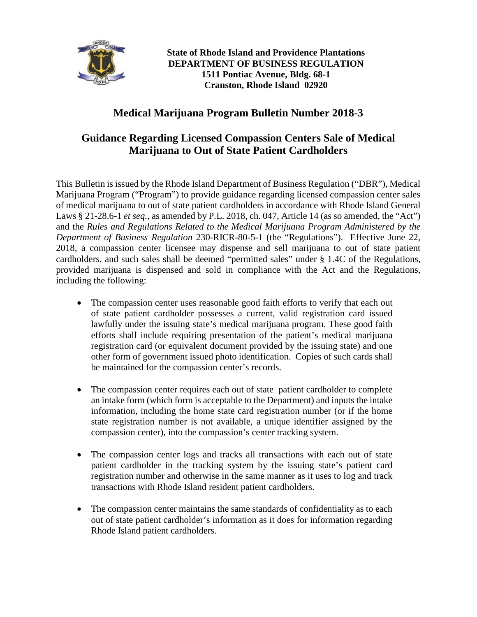

**State of Rhode Island and Providence Plantations DEPARTMENT OF BUSINESS REGULATION 1511 Pontiac Avenue, Bldg. 68-1 Cranston, Rhode Island 02920**

## **Medical Marijuana Program Bulletin Number 2018-3**

## **Guidance Regarding Licensed Compassion Centers Sale of Medical Marijuana to Out of State Patient Cardholders**

This Bulletin is issued by the Rhode Island Department of Business Regulation ("DBR"), Medical Marijuana Program ("Program") to provide guidance regarding licensed compassion center sales of medical marijuana to out of state patient cardholders in accordance with Rhode Island General Laws § 21-28.6-1 *et seq.*, as amended by P.L. 2018, ch. 047, Article 14 (as so amended, the "Act") and the *Rules and Regulations Related to the Medical Marijuana Program Administered by the Department of Business Regulation* 230-RICR-80-5-1 (the "Regulations"). Effective June 22, 2018, a compassion center licensee may dispense and sell marijuana to out of state patient cardholders, and such sales shall be deemed "permitted sales" under § 1.4C of the Regulations, provided marijuana is dispensed and sold in compliance with the Act and the Regulations, including the following:

- The compassion center uses reasonable good faith efforts to verify that each out of state patient cardholder possesses a current, valid registration card issued lawfully under the issuing state's medical marijuana program. These good faith efforts shall include requiring presentation of the patient's medical marijuana registration card (or equivalent document provided by the issuing state) and one other form of government issued photo identification. Copies of such cards shall be maintained for the compassion center's records.
- The compassion center requires each out of state patient cardholder to complete an intake form (which form is acceptable to the Department) and inputs the intake information, including the home state card registration number (or if the home state registration number is not available, a unique identifier assigned by the compassion center), into the compassion's center tracking system.
- The compassion center logs and tracks all transactions with each out of state patient cardholder in the tracking system by the issuing state's patient card registration number and otherwise in the same manner as it uses to log and track transactions with Rhode Island resident patient cardholders.
- The compassion center maintains the same standards of confidentiality as to each out of state patient cardholder's information as it does for information regarding Rhode Island patient cardholders.